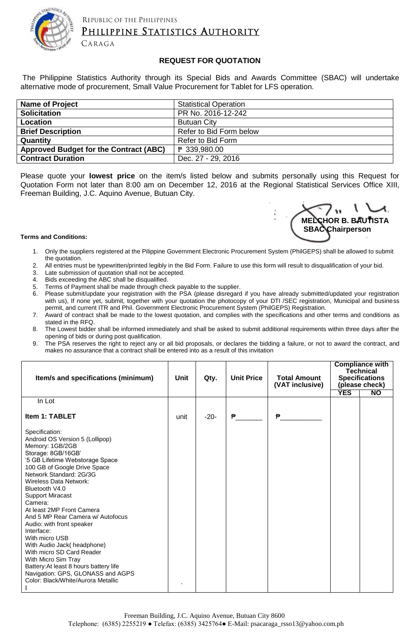

REPUBLIC OF THE PHILIPPINES

## PHILIPPINE STATISTICS AUTHORITY

CARAGA

## **REQUEST FOR QUOTATION**

The Philippine Statistics Authority through its Special Bids and Awards Committee (SBAC) will undertake alternative mode of procurement, Small Value Procurement for Tablet for LFS operation.

| <b>Name of Project</b>                 | <b>Statistical Operation</b> |
|----------------------------------------|------------------------------|
| <b>Solicitation</b>                    | PR No. 2016-12-242           |
| Location                               | <b>Butuan City</b>           |
| <b>Brief Description</b>               | Refer to Bid Form below      |
| Quantity                               | Refer to Bid Form            |
| Approved Budget for the Contract (ABC) | ₱ 339,980.00                 |
| <b>Contract Duration</b>               | Dec. 27 - 29, 2016           |

Please quote your **lowest price** on the item/s listed below and submits personally using this Request for Quotation Form not later than 8:00 am on December 12, 2016 at the Regional Statistical Services Office XIII, Freeman Building, J.C. Aquino Avenue, Butuan City.



## **Terms and Conditions:**

- 1. Only the suppliers registered at the Pilippine Government Electronic Procurement System (PhilGEPS) shall be allowed to submit the quotation.
- 2. All entries must be typewritten/printed legibly in the Bid Form. Failure to use this form will result to disqualification of your bid.
- 3. Late submission of quotation shall not be accepted.<br>4. Bids exceeding the ABC shall be disqualified.
- Bids exceeding the ABC shall be disqualified.
- 5. Terms of Payment shall be made through check payable to the supplier.
- 6. Please submit/update your registration with the PSA (please disregard if you have already submitted/updated your registration with us), If none yet, submit, together with your quotation the photocopy of your DTI /SEC registration, Municipal and business permit, and current ITR and Phil. Government Electronic Procurement System (PhilGEPS) Registration.
- 7. Award of contract shall be made to the lowest quotation, and complies with the specifications and other terms and conditions as stated in the RFQ.
- 8. The Lowest bidder shall be informed immediately and shall be asked to submit additional requirements within three days after the opening of bids or during post qualification.
- 9. The PSA reserves the right to reject any or all bid proposals, or declares the bidding a failure, or not to award the contract, and makes no assurance that a contract shall be entered into as a result of this invitation

| Item/s and specifications (minimum)                                                                                                                                                                                                                                                                                                                                                                                                                                                                                                                                                                               | Unit | Qty.   | <b>Unit Price</b> | <b>Total Amount</b><br>(VAT inclusive) | <b>YES</b> | <b>Compliance with</b><br><b>Technical</b><br><b>Specifications</b><br>(please check)<br><b>NO</b> |
|-------------------------------------------------------------------------------------------------------------------------------------------------------------------------------------------------------------------------------------------------------------------------------------------------------------------------------------------------------------------------------------------------------------------------------------------------------------------------------------------------------------------------------------------------------------------------------------------------------------------|------|--------|-------------------|----------------------------------------|------------|----------------------------------------------------------------------------------------------------|
| In Lot                                                                                                                                                                                                                                                                                                                                                                                                                                                                                                                                                                                                            |      |        |                   |                                        |            |                                                                                                    |
| <b>Item 1: TABLET</b>                                                                                                                                                                                                                                                                                                                                                                                                                                                                                                                                                                                             | unit | $-20-$ | ₱                 | ₱                                      |            |                                                                                                    |
| Specification:<br>Android OS Version 5 (Lollipop)<br>Memory: 1GB/2GB<br>Storage: 8GB/16GB'<br>'5 GB Lifetime Webstorage Space<br>100 GB of Google Drive Space<br>Network Standard: 2G/3G<br>Wireless Data Network:<br>Bluetooth V4.0<br><b>Support Miracast</b><br>Camera:<br>At least 2MP Front Camera<br>And 5 MP Rear Camera w/ Autofocus<br>Audio: with front speaker<br>Interface:<br>With micro USB<br>With Audio Jack( headphone)<br>With micro SD Card Reader<br>With Micro Sim Tray<br>Battery: At least 8 hours battery life<br>Navigation: GPS, GLONASS and AGPS<br>Color: Black/White/Aurora Metallic |      |        |                   |                                        |            |                                                                                                    |